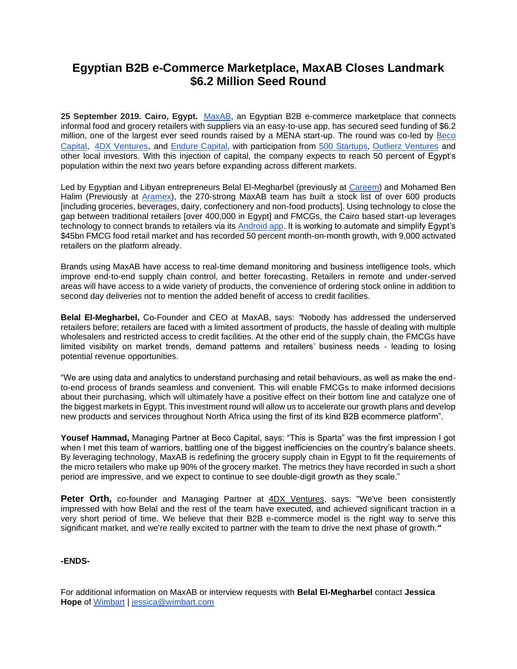# **Egyptian B2B e-Commerce Marketplace, MaxAB Closes Landmark \$6.2 Million Seed Round**

**25 September 2019. Cairo, Egypt.** [MaxAB,](https://mailtrack.io/trace/link/70bee2e7c713c507d837d98b4b7d5e9959fc35a5?url=https%3A%2F%2Fwww.maxab.io%2F&userId=2327147&signature=8d9ea8bedb1ca22d) an Egyptian B2B e-commerce marketplace that connects informal food and grocery retailers with suppliers via an easy-to-use app, has secured seed funding of \$6.2 million, one of the largest ever seed rounds raised by a MENA start-up. The round was co-led by Beco [Capital,](https://mailtrack.io/trace/link/713afb4a0e3a034d1b14769146b97620b6ea857c?url=https%3A%2F%2Fbecocapital.com%2F&userId=2327147&signature=4fdffa4ce8acfaff) [4DX Ventures](https://mailtrack.io/trace/link/457084bccf7e062cdfc2f4ff3be6d9a46fe4a323?url=https%3A%2F%2Fwww.4dxventures.com%2F&userId=2327147&signature=7139feb0d43fbff0), and [Endure Capital,](https://mailtrack.io/trace/link/c85e08995c0468acffbcca103cf1f265d2ab3a2c?url=https%3A%2F%2Fwww.endurecap.com%2F&userId=2327147&signature=2d97b882aa86abf4) with participation from [500 Startups,](https://mailtrack.io/trace/link/4b3b722782f0b3e0aa4bae69300bf3f82a33843c?url=https%3A%2F%2F500.co%2F&userId=2327147&signature=f7af647a7ed2937a) [Outlierz Ventures](https://mailtrack.io/trace/link/5aeba29e58eef1909193a9599f558069df08e521?url=http%3A%2F%2Fwww.outlierz.co%2F&userId=2327147&signature=3c1cf8421760c8ba) and other local investors. With this injection of capital, the company expects to reach 50 percent of Egypt's population within the next two years before expanding across different markets.

Led by Egyptian and Libyan entrepreneurs Belal El-Megharbel (previously at [Careem\)](https://mailtrack.io/trace/link/02e5cd6ed0ab2c3f152f2316519a3a7e8a31aed3?url=https%3A%2F%2Fwww.careem.com%2Fen-ae%2Four-story%2F&userId=2327147&signature=1a769925a8886027) and Mohamed Ben Halim (Previously at [Aramex\)](https://mailtrack.io/trace/link/b7f90af77a7b5fd0d845d57079e467e4c2848a37?url=https%3A%2F%2Fwww.aramex.com%2Fabout%2Fabout-aramex&userId=2327147&signature=57dd80a7b5bbf03e), the 270-strong MaxAB team has built a stock list of over 600 products [including groceries, beverages, dairy, confectionery and non-food products]. Using technology to close the gap between traditional retailers [over 400,000 in Egypt] and FMCGs, the Cairo based start-up leverages technology to connect brands to retailers via its [Android app.](https://mailtrack.io/trace/link/8de3cd29a739e25f90007202308e8f8f7b5ac0b6?url=https%3A%2F%2Fplay.google.com%2Fstore%2Fapps%2Fdetails%3Fid%3Dcom.maxab.maxab&userId=2327147&signature=b7903841683ed0b6) It is working to automate and simplify Egypt's \$45bn FMCG food retail market and has recorded 50 percent month-on-month growth, with 9,000 activated retailers on the platform already.

Brands using MaxAB have access to real-time demand monitoring and business intelligence tools, which improve end-to-end supply chain control, and better forecasting. Retailers in remote and under-served areas will have access to a wide variety of products, the convenience of ordering stock online in addition to second day deliveries not to mention the added benefit of access to credit facilities.

**Belal El-Megharbel,** Co-Founder and CEO at MaxAB, says: *"*Nobody has addressed the underserved retailers before; retailers are faced with a limited assortment of products, the hassle of dealing with multiple wholesalers and restricted access to credit facilities. At the other end of the supply chain, the FMCGs have limited visibility on market trends, demand patterns and retailers' business needs - leading to losing potential revenue opportunities.

"We are using data and analytics to understand purchasing and retail behaviours, as well as make the endto-end process of brands seamless and convenient. This will enable FMCGs to make informed decisions about their purchasing, which will ultimately have a positive effect on their bottom line and catalyze one of the biggest markets in Egypt. This investment round will allow us to accelerate our growth plans and develop new products and services throughout North Africa using the first of its kind B2B ecommerce platform".

**Yousef Hammad,** Managing Partner at Beco Capital, says: "This is Sparta" was the first impression I got when I met this team of warriors, battling one of the biggest inefficiencies on the country's balance sheets. By leveraging technology, MaxAB is redefining the grocery supply chain in Egypt to fit the requirements of the micro retailers who make up 90% of the grocery market. The metrics they have recorded in such a short period are impressive, and we expect to continue to see double-digit growth as they scale."

**Peter Orth,** co-founder and Managing Partner at [4DX Ventures,](https://mailtrack.io/trace/link/43d91d3511db0a5021e7e6c4887d2d814b735d76?url=https%3A%2F%2Fwww.4dxventures.com%2F&userId=2327147&signature=72bd1ad61e5e8033) says: "We've been consistently impressed with how Belal and the rest of the team have executed, and achieved significant traction in a very short period of time. We believe that their B2B e-commerce model is the right way to serve this significant market, and we're really excited to partner with the team to drive the next phase of growth.**"**

# **-ENDS-**

For additional information on MaxAB or interview requests with **Belal El-Megharbel** contact **Jessica Hope** of [Wimbart](https://mailtrack.io/trace/link/35717c2f723c64ba42999583ded5325660928684?url=https%3A%2F%2Fwimbart.com%2F&userId=2327147&signature=44a44b991c2a0f64) | [jessica@wimbart.com](mailto:jessica@wimbart.com)